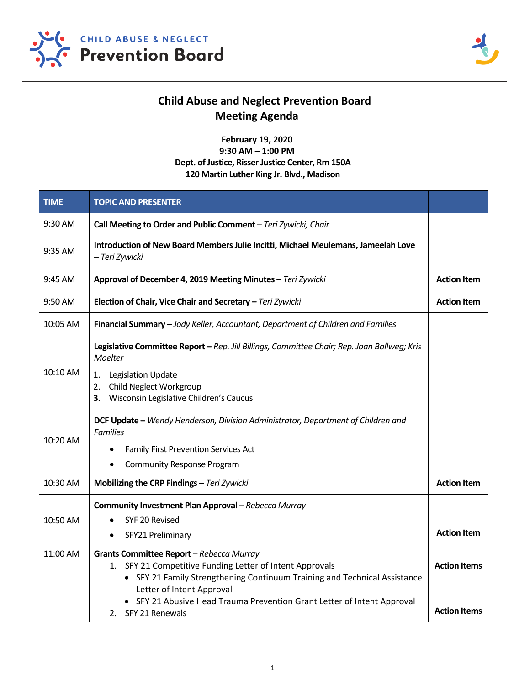



## **Child Abuse and Neglect Prevention Board Meeting Agenda**

**February 19, 2020 9:30 AM – 1:00 PM Dept. of Justice, Risser Justice Center, Rm 150A 120 Martin Luther King Jr. Blvd., Madison**

| <b>TIME</b> | <b>TOPIC AND PRESENTER</b>                                                                                        |                     |  |
|-------------|-------------------------------------------------------------------------------------------------------------------|---------------------|--|
| 9:30 AM     | Call Meeting to Order and Public Comment - Teri Zywicki, Chair                                                    |                     |  |
| 9:35 AM     | Introduction of New Board Members Julie Incitti, Michael Meulemans, Jameelah Love<br>- Teri Zywicki               |                     |  |
| 9:45 AM     | Approval of December 4, 2019 Meeting Minutes - Teri Zywicki                                                       |                     |  |
| 9:50 AM     | Election of Chair, Vice Chair and Secretary - Teri Zywicki                                                        |                     |  |
| 10:05 AM    | Financial Summary - Jody Keller, Accountant, Department of Children and Families                                  |                     |  |
| 10:10 AM    | Legislative Committee Report - Rep. Jill Billings, Committee Chair; Rep. Joan Ballweg; Kris<br>Moelter            |                     |  |
|             | <b>Legislation Update</b><br>1.<br>Child Neglect Workgroup<br>2.<br>Wisconsin Legislative Children's Caucus<br>3. |                     |  |
| 10:20 AM    | DCF Update - Wendy Henderson, Division Administrator, Department of Children and<br><b>Families</b>               |                     |  |
|             | Family First Prevention Services Act                                                                              |                     |  |
|             | <b>Community Response Program</b><br>$\bullet$                                                                    |                     |  |
| 10:30 AM    | Mobilizing the CRP Findings - Teri Zywicki                                                                        | <b>Action Item</b>  |  |
| 10:50 AM    | Community Investment Plan Approval - Rebecca Murray                                                               |                     |  |
|             | SYF 20 Revised                                                                                                    |                     |  |
|             | SFY21 Preliminary                                                                                                 | <b>Action Item</b>  |  |
| 11:00 AM    | Grants Committee Report - Rebecca Murray<br>1. SFY 21 Competitive Funding Letter of Intent Approvals              | <b>Action Items</b> |  |
|             | • SFY 21 Family Strengthening Continuum Training and Technical Assistance<br>Letter of Intent Approval            |                     |  |
|             | • SFY 21 Abusive Head Trauma Prevention Grant Letter of Intent Approval<br>2. SFY 21 Renewals                     | <b>Action Items</b> |  |